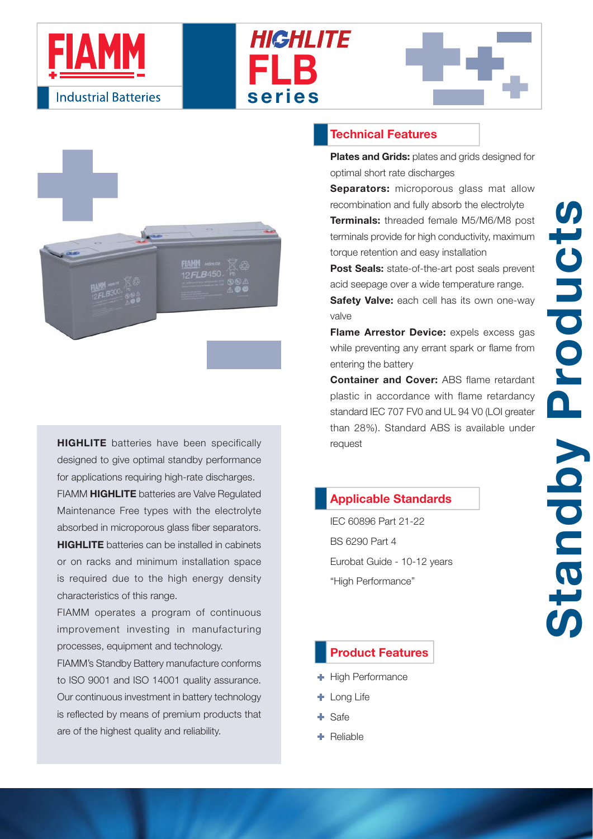







**HIGHLITE** batteries have been specifically designed to give optimal standby performance for applications requiring high-rate discharges. FIAMM **HIGHLITE** batteries are Valve Regulated Maintenance Free types with the electrolyte absorbed in microporous glass fiber separators. **HIGHLITE** batteries can be installed in cabinets or on racks and minimum installation space is required due to the high energy density characteristics of this range.

FIAMM operates a program of continuous improvement investing in manufacturing processes, equipment and technology.

FIAMM's Standby Battery manufacture conforms to ISO 9001 and ISO 14001 quality assurance. Our continuous investment in battery technology is reflected by means of premium products that are of the highest quality and reliability.

## **Technical Features**

**Plates and Grids:** plates and grids designed for optimal short rate discharges

**Separators:** microporous glass mat allow recombination and fully absorb the electrolyte **Terminals:** threaded female M5/M6/M8 post terminals provide for high conductivity, maximum torque retention and easy installation

**Post Seals:** state-of-the-art post seals prevent acid seepage over a wide temperature range.

**Safety Valve:** each cell has its own one-way valve

**Flame Arrestor Device:** expels excess gas while preventing any errant spark or flame from entering the battery

**Container and Cover:** ABS flame retardant plastic in accordance with flame retardancy standard IEC 707 FV0 and UL 94 V0 (LOI greater than 28%). Standard ABS is available under request

# **Applicable Standards**

IEC 60896 Part 21-22 BS 6290 Part 4 Eurobat Guide - 10-12 years "High Performance"

#### **Product Features**

- High Performance
- **Long Life**
- $\bullet$  Safe
- $\bigoplus$  Reliable